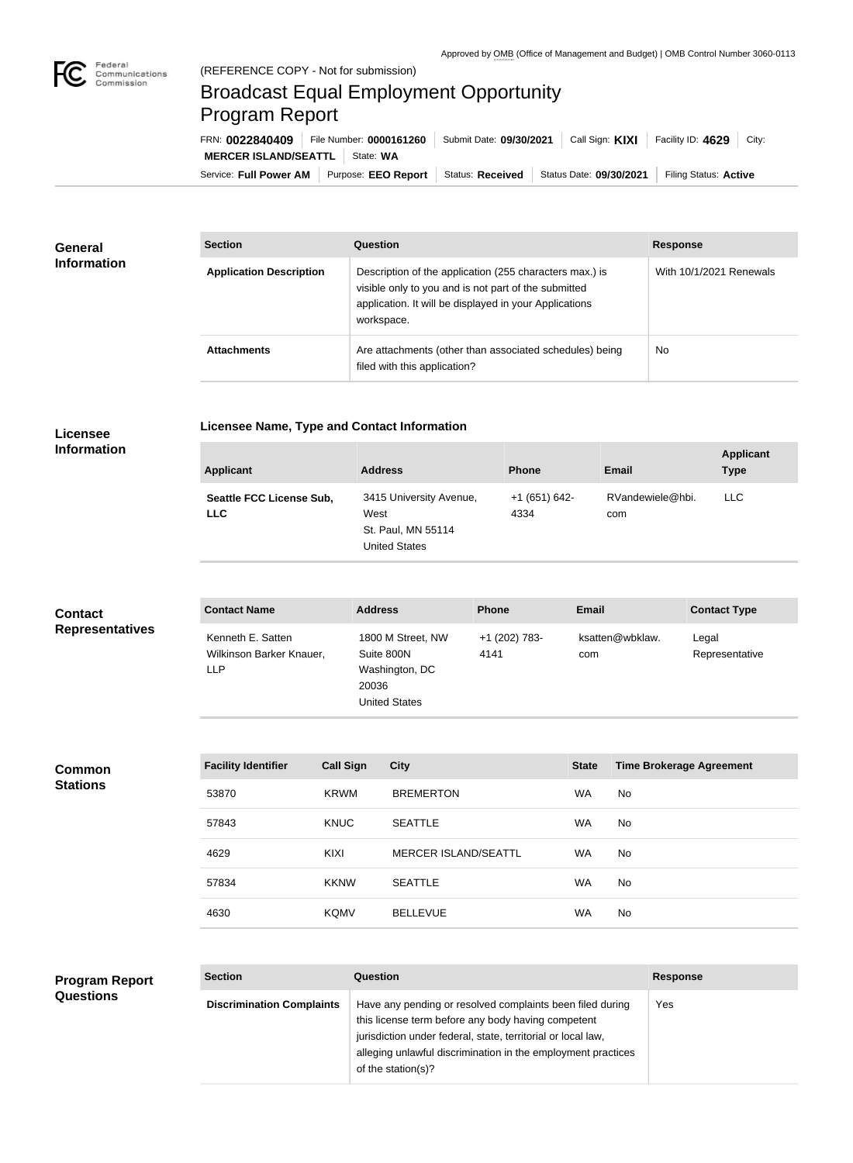

## Broadcast Equal Employment Opportunity Program Report

Service: Full Power AM | Purpose: EEO Report | Status: Received | Status Date: 09/30/2021 | Filing Status: Active **MERCER ISLAND/SEATTL** State: WA FRN: **0022840409** File Number: **0000161260** Submit Date: **09/30/2021** Call Sign: **KIXI** Facility ID: **4629** City:

| <b>General</b><br><b>Information</b> | <b>Section</b>                 | Question                                                                                                                                                                                | <b>Response</b>         |
|--------------------------------------|--------------------------------|-----------------------------------------------------------------------------------------------------------------------------------------------------------------------------------------|-------------------------|
|                                      | <b>Application Description</b> | Description of the application (255 characters max.) is<br>visible only to you and is not part of the submitted<br>application. It will be displayed in your Applications<br>workspace. | With 10/1/2021 Renewals |
|                                      | <b>Attachments</b>             | Are attachments (other than associated schedules) being<br>filed with this application?                                                                                                 | <b>No</b>               |

## **Licensee Information**

|  | Licensee Name, Type and Contact Information |  |  |  |
|--|---------------------------------------------|--|--|--|
|--|---------------------------------------------|--|--|--|

| <b>Applicant</b>                              | <b>Address</b>                                                                | <b>Phone</b>          | <b>Email</b>            | <b>Applicant</b><br><b>Type</b> |
|-----------------------------------------------|-------------------------------------------------------------------------------|-----------------------|-------------------------|---------------------------------|
| <b>Seattle FCC License Sub,</b><br><b>LLC</b> | 3415 University Avenue,<br>West<br>St. Paul, MN 55114<br><b>United States</b> | +1 (651) 642-<br>4334 | RVandewiele@hbi.<br>com | <b>LLC</b>                      |

| <b>Contact</b>         | <b>Contact Name</b>                                  | <b>Address</b>                                                                     | <b>Phone</b>          | Email                  | <b>Contact Type</b>     |
|------------------------|------------------------------------------------------|------------------------------------------------------------------------------------|-----------------------|------------------------|-------------------------|
| <b>Representatives</b> | Kenneth E. Satten<br>Wilkinson Barker Knauer,<br>LLP | 1800 M Street, NW<br>Suite 800N<br>Washington, DC<br>20036<br><b>United States</b> | +1 (202) 783-<br>4141 | ksatten@wbklaw.<br>com | Legal<br>Representative |

**Common Stations**

| <b>Facility Identifier</b> | <b>Call Sign</b> | <b>City</b>                 | <b>State</b> | <b>Time Brokerage Agreement</b> |
|----------------------------|------------------|-----------------------------|--------------|---------------------------------|
| 53870                      | <b>KRWM</b>      | <b>BREMERTON</b>            | <b>WA</b>    | No.                             |
| 57843                      | <b>KNUC</b>      | <b>SEATTLE</b>              | WA           | No.                             |
| 4629                       | KIXI             | <b>MERCER ISLAND/SEATTL</b> | <b>WA</b>    | No.                             |
| 57834                      | <b>KKNW</b>      | <b>SEATTLE</b>              | WA           | No.                             |
| 4630                       | <b>KQMV</b>      | <b>BELLEVUE</b>             | WA           | No.                             |

## **Program Report Questions**

| <b>Section</b>                   | Question                                                                                                                                                                                                                                                              | <b>Response</b> |
|----------------------------------|-----------------------------------------------------------------------------------------------------------------------------------------------------------------------------------------------------------------------------------------------------------------------|-----------------|
| <b>Discrimination Complaints</b> | Have any pending or resolved complaints been filed during<br>this license term before any body having competent<br>jurisdiction under federal, state, territorial or local law,<br>alleging unlawful discrimination in the employment practices<br>of the station(s)? | Yes             |